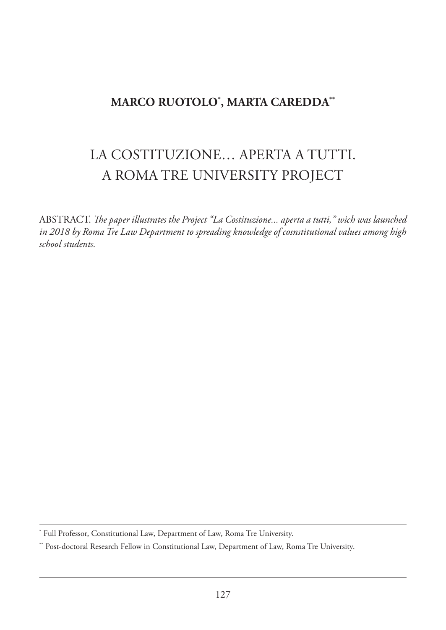## **MARCO RUOTOLO\* , MARTA CAREDDA\*\***

## LA COSTITUzIONE… APERTA A TUTTI. A ROMA TRE UNIVERSITY PROJECT

ABSTRACT. *The paper illustrates the Project* "La Costituzione... aperta a tutti," wich was launched *in 2018 by Roma Tre Law Department to spreading knowledge of cosnstitutional values among high school students.*

<sup>\*</sup> Full Professor, Constitutional Law, Department of Law, Roma Tre University.

<sup>\*\*</sup> Post-doctoral Research Fellow in Constitutional Law, Department of Law, Roma Tre University.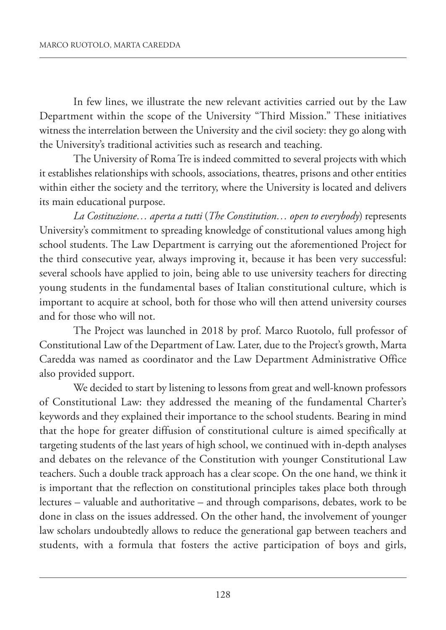In few lines, we illustrate the new relevant activities carried out by the Law Department within the scope of the University "Third Mission." These initiatives witness the interrelation between the University and the civil society: they go along with the University's traditional activities such as research and teaching.

The University of Roma Tre is indeed committed to several projects with which it establishes relationships with schools, associations, theatres, prisons and other entities within either the society and the territory, where the University is located and delivers its main educational purpose.

*La Costituzione… aperta a tutti* (*The Constitution… open to everybody*) represents University's commitment to spreading knowledge of constitutional values among high school students. The Law Department is carrying out the aforementioned Project for the third consecutive year, always improving it, because it has been very successful: several schools have applied to join, being able to use university teachers for directing young students in the fundamental bases of Italian constitutional culture, which is important to acquire at school, both for those who will then attend university courses and for those who will not.

The Project was launched in 2018 by prof. Marco Ruotolo, full professor of Constitutional Law of the Department of Law. Later, due to the Project's growth, Marta Caredda was named as coordinator and the Law Department Administrative Office also provided support.

We decided to start by listening to lessons from great and well-known professors of Constitutional Law: they addressed the meaning of the fundamental Charter's keywords and they explained their importance to the school students. Bearing in mind that the hope for greater diffusion of constitutional culture is aimed specifically at targeting students of the last years of high school, we continued with in-depth analyses and debates on the relevance of the Constitution with younger Constitutional Law teachers. Such a double track approach has a clear scope. On the one hand, we think it is important that the reflection on constitutional principles takes place both through lectures – valuable and authoritative – and through comparisons, debates, work to be done in class on the issues addressed. On the other hand, the involvement of younger law scholars undoubtedly allows to reduce the generational gap between teachers and students, with a formula that fosters the active participation of boys and girls,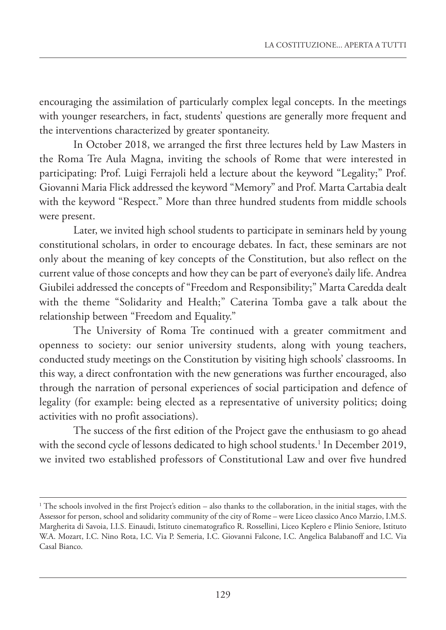encouraging the assimilation of particularly complex legal concepts. In the meetings with younger researchers, in fact, students' questions are generally more frequent and the interventions characterized by greater spontaneity.

In October 2018, we arranged the first three lectures held by Law Masters in the Roma Tre Aula Magna, inviting the schools of Rome that were interested in participating: Prof. Luigi Ferrajoli held a lecture about the keyword "Legality;" Prof. Giovanni Maria Flick addressed the keyword "Memory" and Prof. Marta Cartabia dealt with the keyword "Respect." More than three hundred students from middle schools were present.

Later, we invited high school students to participate in seminars held by young constitutional scholars, in order to encourage debates. In fact, these seminars are not only about the meaning of key concepts of the Constitution, but also reflect on the current value of those concepts and how they can be part of everyone's daily life. Andrea Giubilei addressed the concepts of "Freedom and Responsibility;" Marta Caredda dealt with the theme "Solidarity and Health;" Caterina Tomba gave a talk about the relationship between "Freedom and Equality."

The University of Roma Tre continued with a greater commitment and openness to society: our senior university students, along with young teachers, conducted study meetings on the Constitution by visiting high schools' classrooms. In this way, a direct confrontation with the new generations was further encouraged, also through the narration of personal experiences of social participation and defence of legality (for example: being elected as a representative of university politics; doing activities with no profit associations).

The success of the first edition of the Project gave the enthusiasm to go ahead with the second cycle of lessons dedicated to high school students. <sup>1</sup> In December 2019, we invited two established professors of Constitutional Law and over five hundred

 $1$ <sup>1</sup> The schools involved in the first Project's edition – also thanks to the collaboration, in the initial stages, with the Assessor for person, school and solidarity community of the city of Rome – were Liceo classico Anco Marzio, I.M.S. Margherita di Savoia, I.I.S. Einaudi, Istituto cinematografico R. Rossellini, Liceo Keplero e Plinio Seniore, Istituto W.A. Mozart, I.C. Nino Rota, I.C. Via P. Semeria, I.C. Giovanni Falcone, I.C. Angelica Balabanoff and I.C. Via Casal Bianco.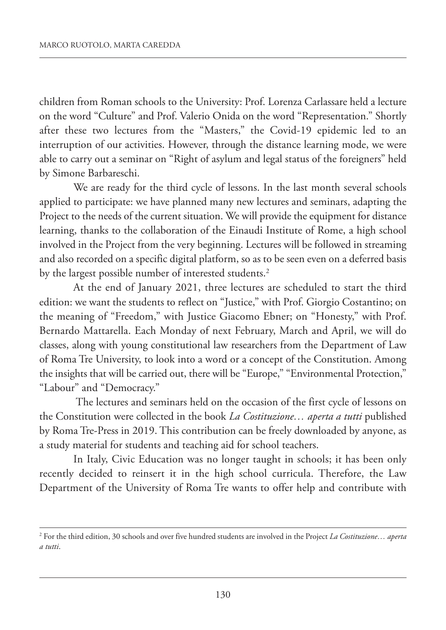children from Roman schools to the University: Prof. Lorenza Carlassare held a lecture on the word "Culture" and Prof. Valerio Onida on the word "Representation." Shortly after these two lectures from the "Masters," the Covid-19 epidemic led to an interruption of our activities. However, through the distance learning mode, we were able to carry out a seminar on "Right of asylum and legal status of the foreigners" held by Simone Barbareschi.

We are ready for the third cycle of lessons. In the last month several schools applied to participate: we have planned many new lectures and seminars, adapting the Project to the needs of the current situation. We will provide the equipment for distance learning, thanks to the collaboration of the Einaudi Institute of Rome, a high school involved in the Project from the very beginning. Lectures will be followed in streaming and also recorded on a specific digital platform, so as to be seen even on a deferred basis by the largest possible number of interested students. 2

At the end of January 2021, three lectures are scheduled to start the third edition: we want the students to reflect on "Justice," with Prof. Giorgio Costantino; on the meaning of "Freedom," with Justice Giacomo Ebner; on "Honesty," with Prof. Bernardo Mattarella. Each Monday of next February, March and April, we will do classes, along with young constitutional law researchers from the Department of Law of Roma Tre University, to look into a word or a concept of the Constitution. Among the insights that will be carried out, there will be "Europe," "Environmental Protection," "Labour" and "Democracy."

The lectures and seminars held on the occasion of the first cycle of lessons on the Constitution were collected in the book *La Costituzione… aperta a tutti* published by Roma Tre-Press in 2019. This contribution can be freely downloaded by anyone, as a study material for students and teaching aid for school teachers.

In Italy, Civic Education was no longer taught in schools; it has been only recently decided to reinsert it in the high school curricula. Therefore, the Law Department of the University of Roma Tre wants to offer help and contribute with

<sup>2</sup> For the third edition, 30 schools and over five hundred students are involved in the Project *La Costituzione… aperta a tutti*.